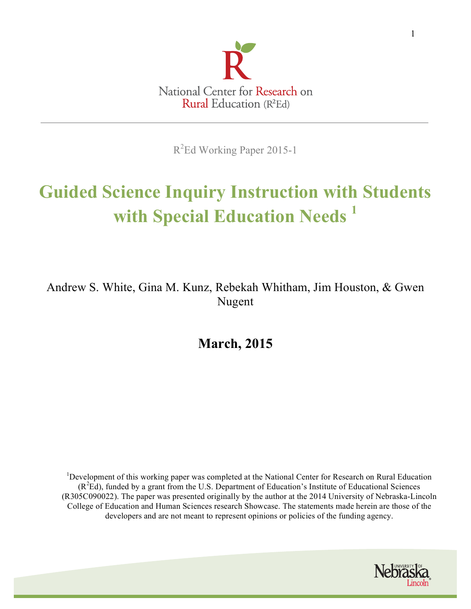

R<sup>2</sup>Ed Working Paper 2015-1

# **Guided Science Inquiry Instruction with Students with Special Education Needs 1**

Andrew S. White, Gina M. Kunz, Rebekah Whitham, Jim Houston, & Gwen Nugent

**March, 2015**

<sup>1</sup>Development of this working paper was completed at the National Center for Research on Rural Education (R<sup>2</sup> Ed), funded by a grant from the U.S. Department of Education's Institute of Educational Sciences (R305C090022). The paper was presented originally by the author at the 2014 University of Nebraska-Lincoln College of Education and Human Sciences research Showcase. The statements made herein are those of the developers and are not meant to represent opinions or policies of the funding agency.

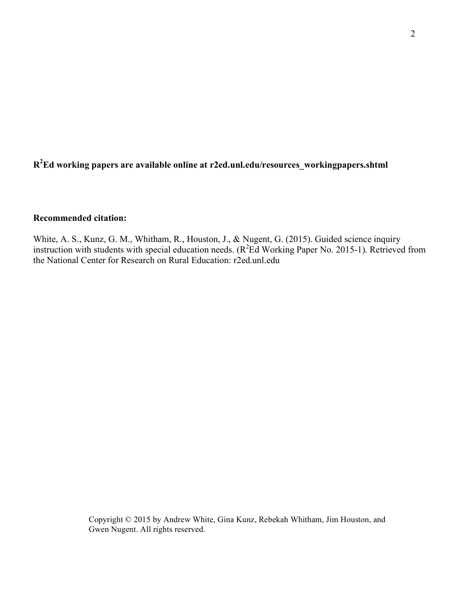# **R2 Ed working papers are available online at r2ed.unl.edu/resources\_workingpapers.shtml**

# **Recommended citation:**

White, A. S., Kunz, G. M., Whitham, R., Houston, J., & Nugent, G. (2015). Guided science inquiry instruction with students with special education needs.  $(R^2Ed$  Working Paper No. 2015-1). Retrieved from the National Center for Research on Rural Education: r2ed.unl.edu

> Copyright © 2015 by Andrew White, Gina Kunz, Rebekah Whitham, Jim Houston, and Gwen Nugent. All rights reserved.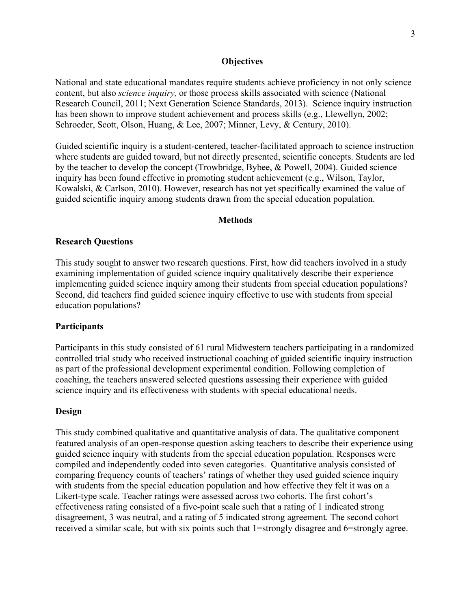### **Objectives**

National and state educational mandates require students achieve proficiency in not only science content, but also *science inquiry,* or those process skills associated with science (National Research Council, 2011; Next Generation Science Standards, 2013). Science inquiry instruction has been shown to improve student achievement and process skills (e.g., Llewellyn, 2002; Schroeder, Scott, Olson, Huang, & Lee, 2007; Minner, Levy, & Century, 2010).

Guided scientific inquiry is a student-centered, teacher-facilitated approach to science instruction where students are guided toward, but not directly presented, scientific concepts. Students are led by the teacher to develop the concept (Trowbridge, Bybee, & Powell, 2004). Guided science inquiry has been found effective in promoting student achievement (e.g., Wilson, Taylor, Kowalski, & Carlson, 2010). However, research has not yet specifically examined the value of guided scientific inquiry among students drawn from the special education population.

#### **Methods**

#### **Research Questions**

This study sought to answer two research questions. First, how did teachers involved in a study examining implementation of guided science inquiry qualitatively describe their experience implementing guided science inquiry among their students from special education populations? Second, did teachers find guided science inquiry effective to use with students from special education populations?

#### **Participants**

Participants in this study consisted of 61 rural Midwestern teachers participating in a randomized controlled trial study who received instructional coaching of guided scientific inquiry instruction as part of the professional development experimental condition. Following completion of coaching, the teachers answered selected questions assessing their experience with guided science inquiry and its effectiveness with students with special educational needs.

#### **Design**

This study combined qualitative and quantitative analysis of data. The qualitative component featured analysis of an open-response question asking teachers to describe their experience using guided science inquiry with students from the special education population. Responses were compiled and independently coded into seven categories. Quantitative analysis consisted of comparing frequency counts of teachers' ratings of whether they used guided science inquiry with students from the special education population and how effective they felt it was on a Likert-type scale. Teacher ratings were assessed across two cohorts. The first cohort's effectiveness rating consisted of a five-point scale such that a rating of 1 indicated strong disagreement, 3 was neutral, and a rating of 5 indicated strong agreement. The second cohort received a similar scale, but with six points such that 1=strongly disagree and 6=strongly agree.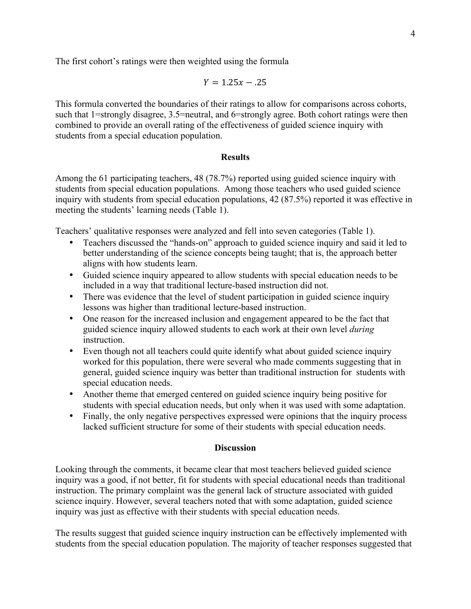The first cohort's ratings were then weighted using the formula

$$
Y=1.25x-.25
$$

This formula converted the boundaries of their ratings to allow for comparisons across cohorts, such that 1=strongly disagree, 3.5=neutral, and 6=strongly agree. Both cohort ratings were then combined to provide an overall rating of the effectiveness of guided science inquiry with students from a special education population.

# **Results**

Among the 61 participating teachers, 48 (78.7%) reported using guided science inquiry with students from special education populations. Among those teachers who used guided science inquiry with students from special education populations, 42 (87.5%) reported it was effective in meeting the students' learning needs (Table 1).

Teachers' qualitative responses were analyzed and fell into seven categories (Table 1).

- Teachers discussed the "hands-on" approach to guided science inquiry and said it led to better understanding of the science concepts being taught; that is, the approach better aligns with how students learn.
- Guided science inquiry appeared to allow students with special education needs to be included in a way that traditional lecture-based instruction did not.
- There was evidence that the level of student participation in guided science inquiry lessons was higher than traditional lecture-based instruction.
- One reason for the increased inclusion and engagement appeared to be the fact that guided science inquiry allowed students to each work at their own level *during* instruction.
- Even though not all teachers could quite identify what about guided science inquiry worked for this population, there were several who made comments suggesting that in general, guided science inquiry was better than traditional instruction for students with special education needs.
- Another theme that emerged centered on guided science inquiry being positive for students with special education needs, but only when it was used with some adaptation.
- Finally, the only negative perspectives expressed were opinions that the inquiry process lacked sufficient structure for some of their students with special education needs.

#### **Discussion**

Looking through the comments, it became clear that most teachers believed guided science inquiry was a good, if not better, fit for students with special educational needs than traditional instruction. The primary complaint was the general lack of structure associated with guided science inquiry. However, several teachers noted that with some adaptation, guided science inquiry was just as effective with their students with special education needs.

The results suggest that guided science inquiry instruction can be effectively implemented with students from the special education population. The majority of teacher responses suggested that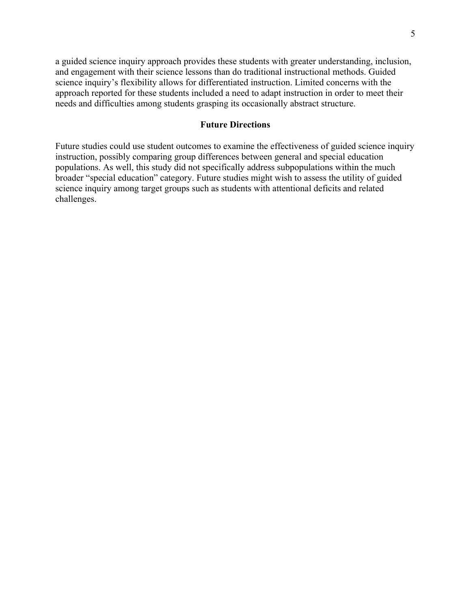a guided science inquiry approach provides these students with greater understanding, inclusion, and engagement with their science lessons than do traditional instructional methods. Guided science inquiry's flexibility allows for differentiated instruction. Limited concerns with the approach reported for these students included a need to adapt instruction in order to meet their needs and difficulties among students grasping its occasionally abstract structure.

## **Future Directions**

Future studies could use student outcomes to examine the effectiveness of guided science inquiry instruction, possibly comparing group differences between general and special education populations. As well, this study did not specifically address subpopulations within the much broader "special education" category. Future studies might wish to assess the utility of guided science inquiry among target groups such as students with attentional deficits and related challenges.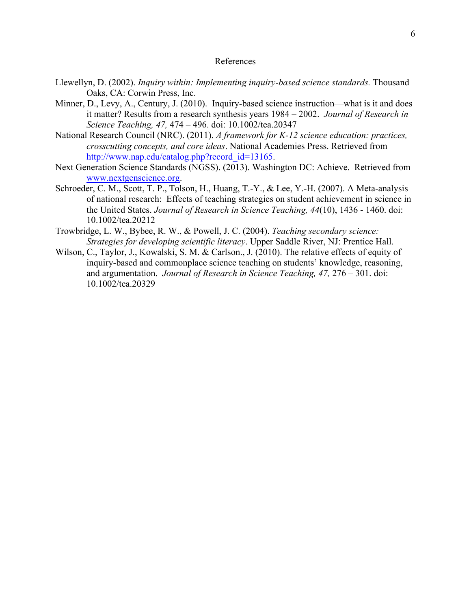#### References

- Llewellyn, D. (2002). *Inquiry within: Implementing inquiry-based science standards.* Thousand Oaks, CA: Corwin Press, Inc.
- Minner, D., Levy, A., Century, J. (2010). Inquiry-based science instruction—what is it and does it matter? Results from a research synthesis years 1984 – 2002. *Journal of Research in Science Teaching, 47,* 474 – 496. doi: 10.1002/tea.20347
- National Research Council (NRC). (2011). *A framework for K-12 science education: practices, crosscutting concepts, and core ideas*. National Academies Press. Retrieved from http://www.nap.edu/catalog.php?record\_id=13165.
- Next Generation Science Standards (NGSS). (2013). Washington DC: Achieve. Retrieved from www.nextgenscience.org.
- Schroeder, C. M., Scott, T. P., Tolson, H., Huang, T.-Y., & Lee, Y.-H. (2007). A Meta-analysis of national research: Effects of teaching strategies on student achievement in science in the United States. *Journal of Research in Science Teaching, 44*(10), 1436 - 1460. doi: 10.1002/tea.20212
- Trowbridge, L. W., Bybee, R. W., & Powell, J. C. (2004). *Teaching secondary science: Strategies for developing scientific literacy*. Upper Saddle River, NJ: Prentice Hall.
- Wilson, C., Taylor, J., Kowalski, S. M. & Carlson., J. (2010). The relative effects of equity of inquiry-based and commonplace science teaching on students' knowledge, reasoning, and argumentation. *Journal of Research in Science Teaching, 47,* 276 – 301. doi: 10.1002/tea.20329